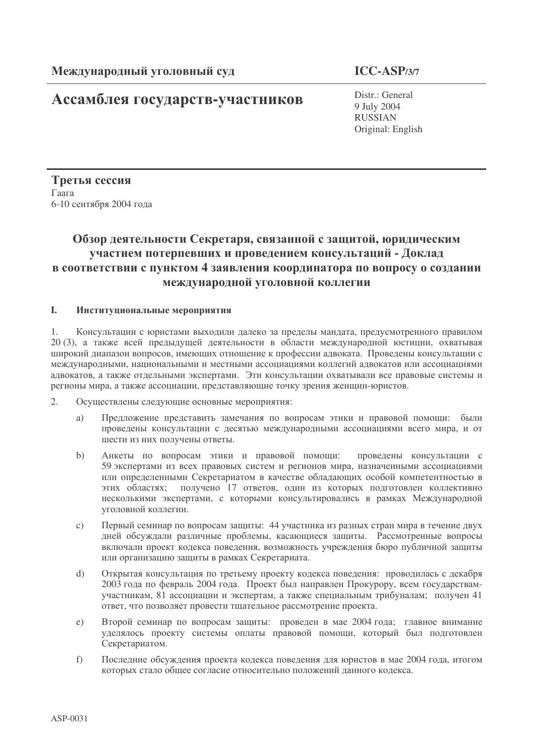## Ассамблея государств-участников

 $ICC-ASP/3/7$ 

Distr.: General 9 July 2004 **RUSSIAN** Original: English

Третья сессия Гаага 6-10 сентября 2004 года

## Обзор деятельности Секретаря, связанной с защитой, юридическим участием потерпевших и проведением консультаций - Доклад в соответствии с пунктом 4 заявления координатора по вопросу о создании международной уголовной коллегии

#### $\mathbf{L}$ Институциональные мероприятия

 $1$ Консультации с юристами выходили далеко за пределы мандата, предусмотренного правилом 20 (3), а также всей предыдущей деятельности в области международной юстиции, охватывая широкий диапазон вопросов, имеющих отношение к профессии адвоката. Проведены консультации с международными, национальными и местными ассоциациями коллегий адвокатов или ассоциациями адвокатов, а также отдельными экспертами. Эти консультации охватывали все правовые системы и регионы мира, а также ассоциации, представляющие точку зрения женщин-юристов.

- $2.$ Осуществлены следующие основные мероприятия:
	- Предложение представить замечания по вопросам этики и правовой помощи: были a) проведены консультации с десятью международными ассоциациями всего мира, и от шести из них получены ответы.
	- Анкеты по вопросам этики и правовой помощи: проведены консультации с  $b)$ 59 экспертами из всех правовых систем и регионов мира, назначенными ассоциациями или определенными Секретариатом в качестве обладающих особой компетентностью в получено 17 ответов, один из которых подготовлен коллективно этих областях: несколькими экспертами, с которыми консультировались в рамках Международной уголовной коллегии.
	- Первый семинар по вопросам защиты: 44 участника из разных стран мира в течение двух  $c)$ дней обсуждали различные проблемы, касающиеся защиты. Рассмотренные вопросы включали проект кодекса поведения, возможность учреждения бюро публичной защиты или организацию защиты в рамках Секретариата.
	- Открытая консультация по третьему проекту кодекса поведения: проводилась с декабря  $\mathrm{d}$ 2003 года по февраль 2004 года. Проект был направлен Прокурору, всем государствамучастникам, 81 ассоциации и экспертам, а также специальным трибуналам; получен 41 ответ, что позволяет провести тщательное рассмотрение проекта.
	- Второй семинар по вопросам защиты: проведен в мае 2004 года; главное внимание  $e)$ уделялось проекту системы оплаты правовой помощи, который был подготовлен Секретариатом.
	- Последние обсуждения проекта кодекса поведения для юристов в мае 2004 года, итогом  $f$ которых стало общее согласие относительно положений данного кодекса.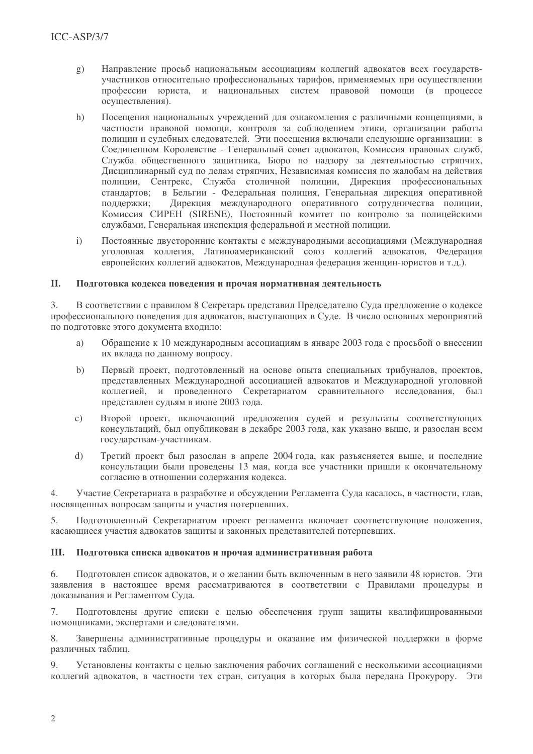- Направление просьб национальным ассоциациям коллегий алвокатов всех государств $g)$ участников относительно профессиональных тарифов, применяемых при осуществлении профессии юриста, и национальных систем правовой помощи (в процессе осуществления).
- $h)$ Посешения национальных учреждений для ознакомления с различными концепциями, в частности правовой помощи, контроля за соблюдением этики, организации работы полиции и судебных следователей. Эти посещения включали следующие организации: в Соединенном Королевстве - Генеральный совет адвокатов, Комиссия правовых служб, Служба общественного защитника, Бюро по надзору за деятельностью стряпчих, Дисциплинарный суд по делам стряпчих, Независимая комиссия по жалобам на действия полиции, Сентрекс, Служба столичной полиции, Дирекция профессиональных станлартов: в Бельгии - Фелеральная полиция. Генеральная лирекция оперативной поллержки: Лирекция международного оперативного сотрудничества полиции, Комиссия СИРЕН (SIRENE). Постоянный комитет по контролю за полицейскими службами, Генеральная инспекция федеральной и местной полиции.
- $\mathbf{i}$ Постоянные лвусторонние контакты с международными ассоциациями (Международная уголовная коллегия. Латиноамериканский союз коллегий алвокатов. Фелерация европейских коллегий алвокатов. Международная федерация женщин-юристов и т.д.).

#### II. Полготовка колекса повеления и прочая нормативная леятельность

 $\mathcal{E}$ В соответствии с правилом 8 Секретарь представил Председателю Суда предложение о кодексе профессионального поведения для адвокатов, выступающих в Суде. В число основных мероприятий по подготовке этого документа входило:

- Обращение к 10 международным ассоциациям в январе 2003 года с просьбой о внесении a) их вклада по данному вопросу.
- Первый проект, подготовленный на основе опыта специальных трибуналов, проектов,  $b)$ представленных Международной ассоциацией адвокатов и Международной уголовной коллегией, и проведенного Секретариатом сравнительного исследования, был представлен судьям в июне 2003 года.
- Второй проект, включающий предложения судей и результаты соответствующих  $\mathbf{c})$ консультаций, был опубликован в декабре 2003 года, как указано выше, и разослан всем государствам-участникам.
- $d)$ Третий проект был разослан в апреле 2004 года, как разъясняется выше, и последние консультации были проведены 13 мая, когда все участники пришли к окончательному согласию в отношении содержания кодекса.

 $4.$ Участие Секретариата в разработке и обсуждении Регламента Суда касалось, в частности, глав, посвященных вопросам защиты и участия потерпевших.

Подготовленный Секретариатом проект регламента включает соответствующие положения, 5. касающиеся участия адвокатов защиты и законных представителей потерпевших.

#### Ш. Подготовка списка адвокатов и прочая административная работа

6. Подготовлен список адвокатов, и о желании быть включенным в него заявили 48 юристов. Эти заявления в настоящее время рассматриваются в соответствии с Правилами процедуры и доказывания и Регламентом Суда.

Подготовлены другие списки с целью обеспечения групп защиты квалифицированными 7. помощниками, экспертами и следователями.

Завершены административные процедуры и оказание им физической поддержки в форме 8. различных таблиц.

 $Q_{1}$ Установлены контакты с целью заключения рабочих соглашений с несколькими ассоциациями коллегий адвокатов, в частности тех стран, ситуация в которых была передана Прокурору. Эти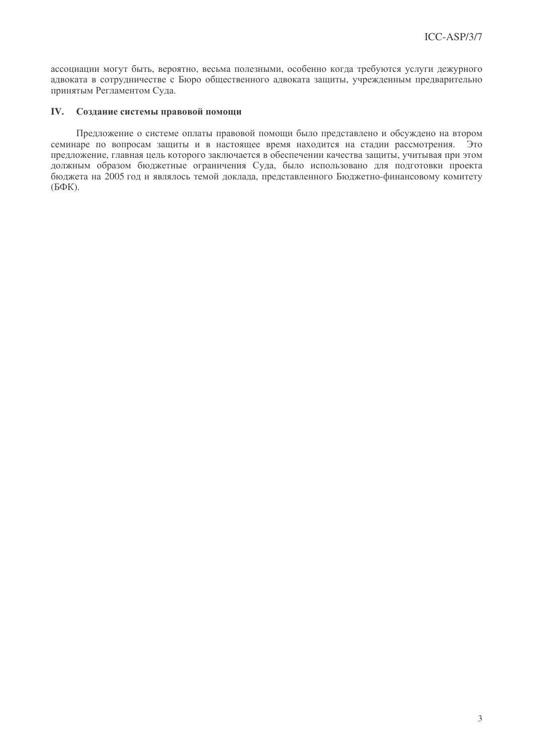ассоциации могут быть, вероятно, весьма полезными, особенно когда требуются услуги дежурного адвоката в сотрудничестве с Бюро общественного адвоката защиты, учрежденным предварительно принятым Регламентом Суда.

#### IV. Создание системы правовой помощи

Предложение о системе оплаты правовой помоши было представлено и обсуждено на втором семинаре по вопросам защиты и в настоящее время находится на стадии рассмотрения.  $QTC$ предложение, главная цель которого заключается в обеспечении качества защиты, учитывая при этом должным образом бюджетные ограничения Суда, было использовано для подготовки проекта бюджета на 2005 год и являлось темой доклада, представленного Бюджетно-финансовому комитету  $(B\Phi K)$ .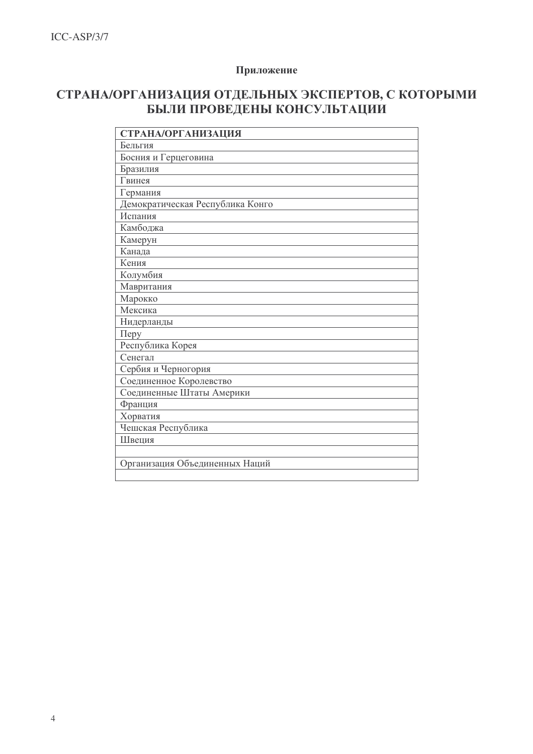### Приложение

## СТРАНА/ОРГАНИЗАЦИЯ ОТДЕЛЬНЫХ ЭКСПЕРТОВ, С КОТОРЫМИ БЫЛИ ПРОВЕДЕНЫ КОНСУЛЬТАЦИИ

| <b>СТРАНА/ОРГАНИЗАЦИЯ</b>        |
|----------------------------------|
| Бельгия                          |
| Босния и Герцеговина             |
| Бразилия                         |
| Гвинея                           |
| Германия                         |
| Демократическая Республика Конго |
| Испания                          |
| Камбоджа                         |
| Камерун                          |
| Канада                           |
| Кения                            |
| Колумбия                         |
| Мавритания                       |
| Марокко                          |
| Мексика                          |
| Нидерланды                       |
| $\pi$                            |
| Республика Корея                 |
| Сенегал                          |
| Сербия и Черногория              |
| Соединенное Королевство          |
| Соединенные Штаты Америки        |
| Франция                          |
| Хорватия                         |
| Чешская Республика               |
| Швеция                           |
|                                  |
| Организация Объединенных Наций   |
|                                  |